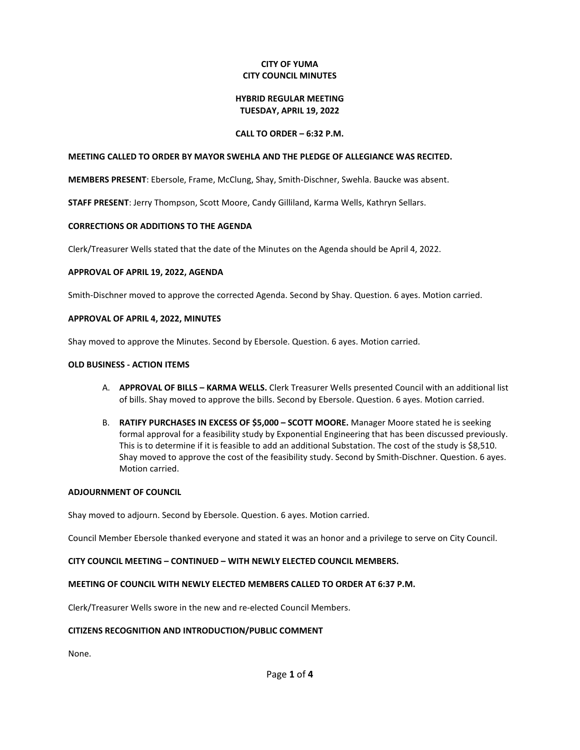# **CITY OF YUMA CITY COUNCIL MINUTES**

#### **HYBRID REGULAR MEETING TUESDAY, APRIL 19, 2022**

### **CALL TO ORDER – 6:32 P.M.**

### **MEETING CALLED TO ORDER BY MAYOR SWEHLA AND THE PLEDGE OF ALLEGIANCE WAS RECITED.**

**MEMBERS PRESENT**: Ebersole, Frame, McClung, Shay, Smith-Dischner, Swehla. Baucke was absent.

**STAFF PRESENT**: Jerry Thompson, Scott Moore, Candy Gilliland, Karma Wells, Kathryn Sellars.

### **CORRECTIONS OR ADDITIONS TO THE AGENDA**

Clerk/Treasurer Wells stated that the date of the Minutes on the Agenda should be April 4, 2022.

### **APPROVAL OF APRIL 19, 2022, AGENDA**

Smith-Dischner moved to approve the corrected Agenda. Second by Shay. Question. 6 ayes. Motion carried.

### **APPROVAL OF APRIL 4, 2022, MINUTES**

Shay moved to approve the Minutes. Second by Ebersole. Question. 6 ayes. Motion carried.

### **OLD BUSINESS - ACTION ITEMS**

- A. **APPROVAL OF BILLS – KARMA WELLS.** Clerk Treasurer Wells presented Council with an additional list of bills. Shay moved to approve the bills. Second by Ebersole. Question. 6 ayes. Motion carried.
- B. **RATIFY PURCHASES IN EXCESS OF \$5,000 – SCOTT MOORE.** Manager Moore stated he is seeking formal approval for a feasibility study by Exponential Engineering that has been discussed previously. This is to determine if it is feasible to add an additional Substation. The cost of the study is \$8,510. Shay moved to approve the cost of the feasibility study. Second by Smith-Dischner. Question. 6 ayes. Motion carried.

#### **ADJOURNMENT OF COUNCIL**

Shay moved to adjourn. Second by Ebersole. Question. 6 ayes. Motion carried.

Council Member Ebersole thanked everyone and stated it was an honor and a privilege to serve on City Council.

# **CITY COUNCIL MEETING – CONTINUED – WITH NEWLY ELECTED COUNCIL MEMBERS.**

# **MEETING OF COUNCIL WITH NEWLY ELECTED MEMBERS CALLED TO ORDER AT 6:37 P.M.**

Clerk/Treasurer Wells swore in the new and re-elected Council Members.

# **CITIZENS RECOGNITION AND INTRODUCTION/PUBLIC COMMENT**

None.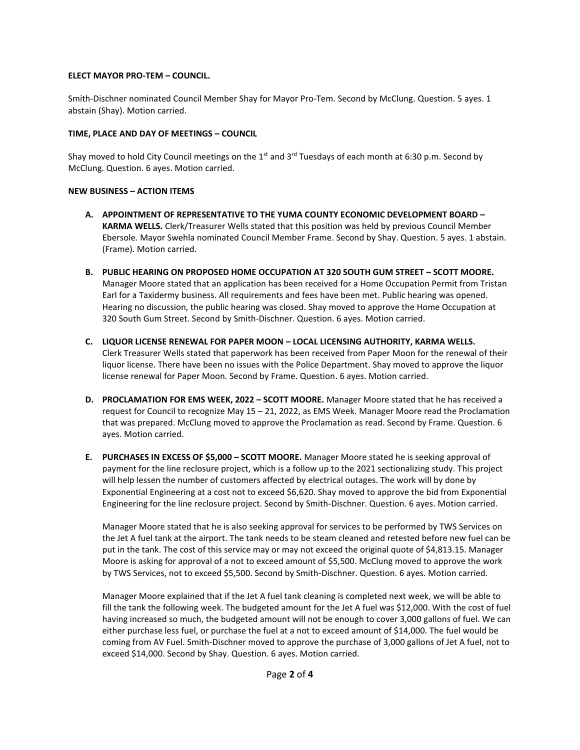# **ELECT MAYOR PRO-TEM – COUNCIL.**

Smith-Dischner nominated Council Member Shay for Mayor Pro-Tem. Second by McClung. Question. 5 ayes. 1 abstain (Shay). Motion carried.

# **TIME, PLACE AND DAY OF MEETINGS – COUNCIL**

Shay moved to hold City Council meetings on the 1<sup>st</sup> and 3<sup>rd</sup> Tuesdays of each month at 6:30 p.m. Second by McClung. Question. 6 ayes. Motion carried.

# **NEW BUSINESS – ACTION ITEMS**

- **A. APPOINTMENT OF REPRESENTATIVE TO THE YUMA COUNTY ECONOMIC DEVELOPMENT BOARD – KARMA WELLS.** Clerk/Treasurer Wells stated that this position was held by previous Council Member Ebersole. Mayor Swehla nominated Council Member Frame. Second by Shay. Question. 5 ayes. 1 abstain. (Frame). Motion carried.
- **B. PUBLIC HEARING ON PROPOSED HOME OCCUPATION AT 320 SOUTH GUM STREET – SCOTT MOORE.** Manager Moore stated that an application has been received for a Home Occupation Permit from Tristan Earl for a Taxidermy business. All requirements and fees have been met. Public hearing was opened. Hearing no discussion, the public hearing was closed. Shay moved to approve the Home Occupation at 320 South Gum Street. Second by Smith-Dischner. Question. 6 ayes. Motion carried.
- **C. LIQUOR LICENSE RENEWAL FOR PAPER MOON – LOCAL LICENSING AUTHORITY, KARMA WELLS.** Clerk Treasurer Wells stated that paperwork has been received from Paper Moon for the renewal of their liquor license. There have been no issues with the Police Department. Shay moved to approve the liquor license renewal for Paper Moon. Second by Frame. Question. 6 ayes. Motion carried.
- **D. PROCLAMATION FOR EMS WEEK, 2022 – SCOTT MOORE.** Manager Moore stated that he has received a request for Council to recognize May 15 – 21, 2022, as EMS Week. Manager Moore read the Proclamation that was prepared. McClung moved to approve the Proclamation as read. Second by Frame. Question. 6 ayes. Motion carried.
- **E. PURCHASES IN EXCESS OF \$5,000 – SCOTT MOORE.** Manager Moore stated he is seeking approval of payment for the line reclosure project, which is a follow up to the 2021 sectionalizing study. This project will help lessen the number of customers affected by electrical outages. The work will by done by Exponential Engineering at a cost not to exceed \$6,620. Shay moved to approve the bid from Exponential Engineering for the line reclosure project. Second by Smith-Dischner. Question. 6 ayes. Motion carried.

Manager Moore stated that he is also seeking approval for services to be performed by TWS Services on the Jet A fuel tank at the airport. The tank needs to be steam cleaned and retested before new fuel can be put in the tank. The cost of this service may or may not exceed the original quote of \$4,813.15. Manager Moore is asking for approval of a not to exceed amount of \$5,500. McClung moved to approve the work by TWS Services, not to exceed \$5,500. Second by Smith-Dischner. Question. 6 ayes. Motion carried.

Manager Moore explained that if the Jet A fuel tank cleaning is completed next week, we will be able to fill the tank the following week. The budgeted amount for the Jet A fuel was \$12,000. With the cost of fuel having increased so much, the budgeted amount will not be enough to cover 3,000 gallons of fuel. We can either purchase less fuel, or purchase the fuel at a not to exceed amount of \$14,000. The fuel would be coming from AV Fuel. Smith-Dischner moved to approve the purchase of 3,000 gallons of Jet A fuel, not to exceed \$14,000. Second by Shay. Question. 6 ayes. Motion carried.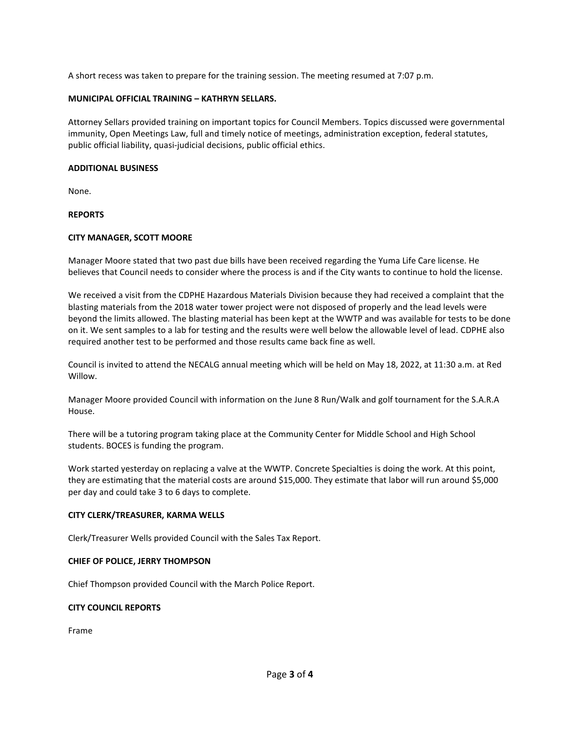A short recess was taken to prepare for the training session. The meeting resumed at 7:07 p.m.

### **MUNICIPAL OFFICIAL TRAINING – KATHRYN SELLARS.**

Attorney Sellars provided training on important topics for Council Members. Topics discussed were governmental immunity, Open Meetings Law, full and timely notice of meetings, administration exception, federal statutes, public official liability, quasi-judicial decisions, public official ethics.

### **ADDITIONAL BUSINESS**

None.

**REPORTS**

# **CITY MANAGER, SCOTT MOORE**

Manager Moore stated that two past due bills have been received regarding the Yuma Life Care license. He believes that Council needs to consider where the process is and if the City wants to continue to hold the license.

We received a visit from the CDPHE Hazardous Materials Division because they had received a complaint that the blasting materials from the 2018 water tower project were not disposed of properly and the lead levels were beyond the limits allowed. The blasting material has been kept at the WWTP and was available for tests to be done on it. We sent samples to a lab for testing and the results were well below the allowable level of lead. CDPHE also required another test to be performed and those results came back fine as well.

Council is invited to attend the NECALG annual meeting which will be held on May 18, 2022, at 11:30 a.m. at Red Willow.

Manager Moore provided Council with information on the June 8 Run/Walk and golf tournament for the S.A.R.A House.

There will be a tutoring program taking place at the Community Center for Middle School and High School students. BOCES is funding the program.

Work started yesterday on replacing a valve at the WWTP. Concrete Specialties is doing the work. At this point, they are estimating that the material costs are around \$15,000. They estimate that labor will run around \$5,000 per day and could take 3 to 6 days to complete.

#### **CITY CLERK/TREASURER, KARMA WELLS**

Clerk/Treasurer Wells provided Council with the Sales Tax Report.

# **CHIEF OF POLICE, JERRY THOMPSON**

Chief Thompson provided Council with the March Police Report.

# **CITY COUNCIL REPORTS**

Frame